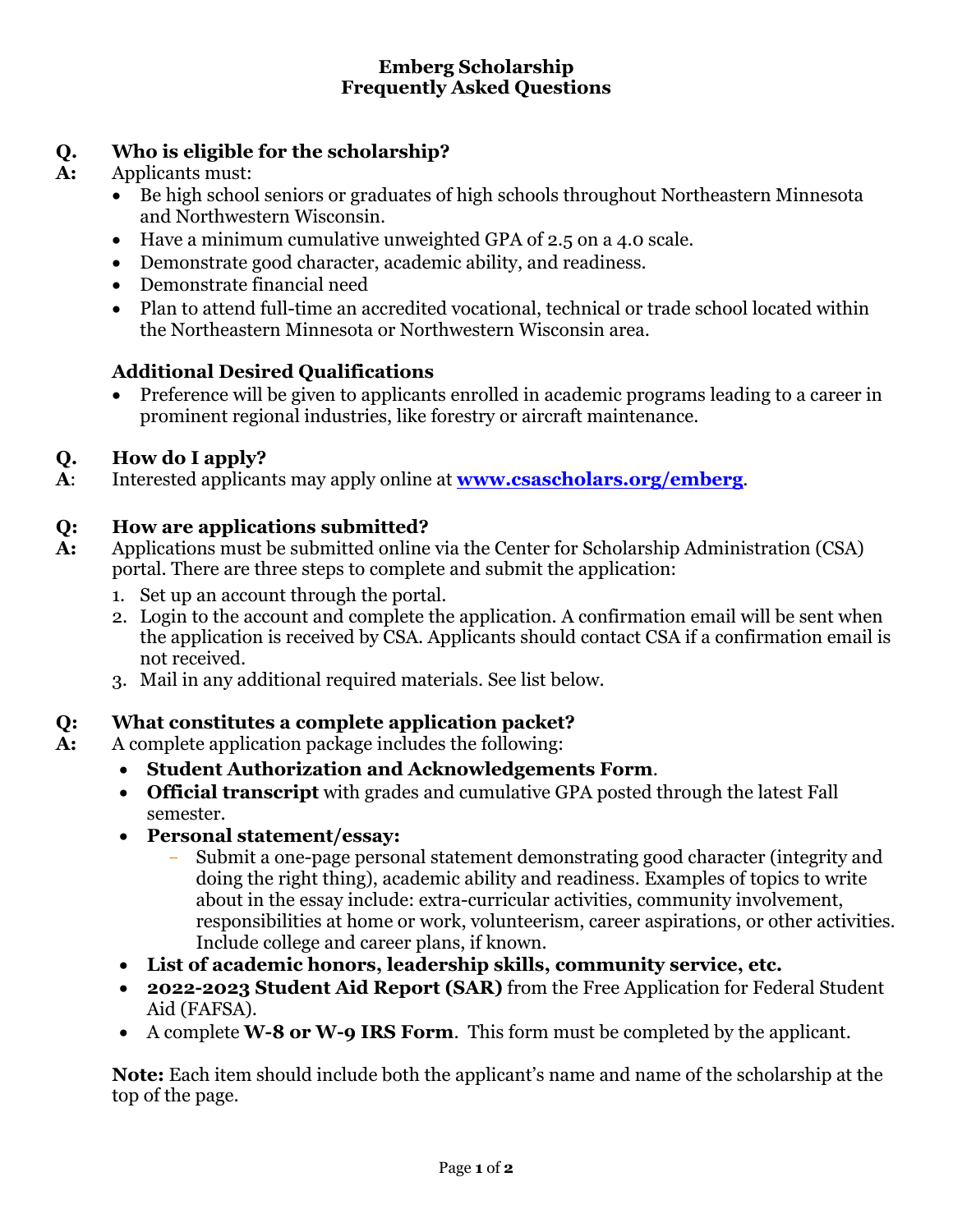### **Emberg Scholarship Frequently Asked Questions**

### **Q. Who is eligible for the scholarship?**

# **A:** Applicants must:

- Be high school seniors or graduates of high schools throughout Northeastern Minnesota and Northwestern Wisconsin.
- Have a minimum cumulative unweighted GPA of 2.5 on a 4.0 scale.
- Demonstrate good character, academic ability, and readiness.
- Demonstrate financial need
- Plan to attend full-time an accredited vocational, technical or trade school located within the Northeastern Minnesota or Northwestern Wisconsin area.

# **Additional Desired Qualifications**

• Preference will be given to applicants enrolled in academic programs leading to a career in prominent regional industries, like forestry or aircraft maintenance.

# **Q. How do I apply?**

**A**: Interested applicants may apply online at **www.csascholars.org/emberg**.

# **Q: How are applications submitted?**

- **A:** Applications must be submitted online via the Center for Scholarship Administration (CSA) portal. There are three steps to complete and submit the application:
	- 1. Set up an account through the portal.
	- 2. Login to the account and complete the application. A confirmation email will be sent when the application is received by CSA. Applicants should contact CSA if a confirmation email is not received.
	- 3. Mail in any additional required materials. See list below.

### **Q: What constitutes a complete application packet?**

- **A:** A complete application package includes the following:
	- **Student Authorization and Acknowledgements Form**.
	- **Official transcript** with grades and cumulative GPA posted through the latest Fall semester.
	- **Personal statement/essay:**
		- Submit a one-page personal statement demonstrating good character (integrity and doing the right thing), academic ability and readiness. Examples of topics to write about in the essay include: extra-curricular activities, community involvement, responsibilities at home or work, volunteerism, career aspirations, or other activities. Include college and career plans, if known.
	- **List of academic honors, leadership skills, community service, etc.**
	- **2022-2023 Student Aid Report (SAR)** from the Free Application for Federal Student Aid (FAFSA).
	- A complete **W-8 or W-9 IRS Form**. This form must be completed by the applicant.

**Note:** Each item should include both the applicant's name and name of the scholarship at the top of the page.